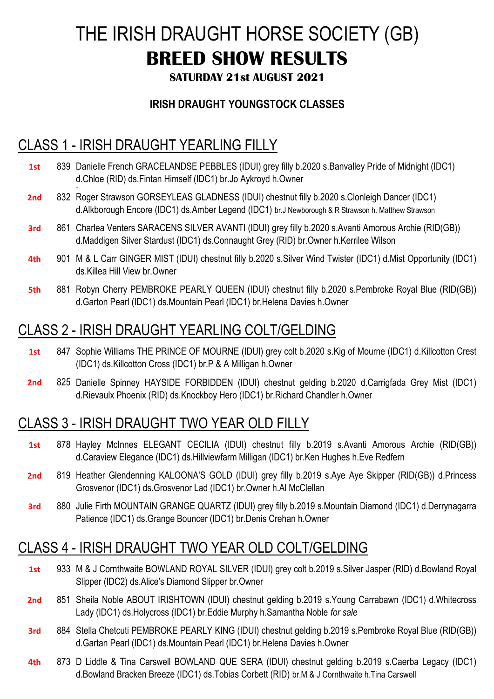# THE IRISH DRAUGHT HORSE SOCIETY (GB) **BREED SHOW RESULTS**

#### **SATURDAY 21st AUGUST 2021**

#### **IRISH DRAUGHT YOUNGSTOCK CLASSES**

## CLASS 1 - IRISH DRAUGHT YEARLING FILLY

- 1st 839 Danielle French GRACELANDSE PEBBLES (IDUI) grey filly b.2020 s.Banvalley Pride of Midnight (IDC1) . d.Chloe (RID) ds.Fintan Himself (IDC1) br.Jo Aykroyd h.Owner
- **2nd** 832 Roger Strawson GORSEYLEAS GLADNESS (IDUI) chestnut filly b.2020 s.Clonleigh Dancer (IDC1) d.Alkborough Encore (IDC1) ds.Amber Legend (IDC1) br.J Newborough & R Strawson h. Matthew Strawson
- 3rd 861 Charlea Venters SARACENS SILVER AVANTI (IDUI) grey filly b.2020 s.Avanti Amorous Archie (RID(GB)) d.Maddigen Silver Stardust (IDC1) ds.Connaught Grey (RID) br.Owner h.Kerrilee Wilson
- **4th** 901 M & L Carr GINGER MIST (IDUI) chestnut filly b.2020 s.Silver Wind Twister (IDC1) d.Mist Opportunity (IDC1) ds.Killea Hill View br.Owner
- **5th** 881 Robyn Cherry PEMBROKE PEARLY QUEEN (IDUI) chestnut filly b.2020 s.Pembroke Royal Blue (RID(GB)) d.Garton Pearl (IDC1) ds.Mountain Pearl (IDC1) br.Helena Davies h.Owner

## CLASS 2 - IRISH DRAUGHT YEARLING COLT/GELDING

- **1st** 847 Sophie Williams THE PRINCE OF MOURNE (IDUI) grey colt b.2020 s.Kig of Mourne (IDC1) d.Killcotton Crest (IDC1) ds.Killcotton Cross (IDC1) br.P & A Milligan h.Owner
- **2nd** 825 Danielle Spinney HAYSIDE FORBIDDEN (IDUI) chestnut gelding b.2020 d.Carrigfada Grey Mist (IDC1) d.Rievaulx Phoenix (RID) ds.Knockboy Hero (IDC1) br.Richard Chandler h.Owner

## CLASS 3 - IRISH DRAUGHT TWO YEAR OLD FILLY

- **1st** 878 Hayley McInnes ELEGANT CECILIA (IDUI) chestnut filly b.2019 s.Avanti Amorous Archie (RID(GB)) d.Caraview Elegance (IDC1) ds.Hillviewfarm Milligan (IDC1) br.Ken Hughes h.Eve Redfern
- **2nd** 819 Heather Glendenning KALOONA'S GOLD (IDUI) grey filly b.2019 s.Aye Aye Skipper (RID(GB)) d.Princess Grosvenor (IDC1) ds.Grosvenor Lad (IDC1) br.Owner h.Al McClellan
- **3rd** 880 Julie Firth MOUNTAIN GRANGE QUARTZ (IDUI) grey filly b.2019 s.Mountain Diamond (IDC1) d.Derrynagarra Patience (IDC1) ds.Grange Bouncer (IDC1) br.Denis Crehan h.Owner

## CLASS 4 - IRISH DRAUGHT TWO YEAR OLD COLT/GELDING

- **1st** 933 M & J Cornthwaite BOWLAND ROYAL SILVER (IDUI) grey colt b.2019 s.Silver Jasper (RID) d.Bowland Royal Slipper (IDC2) ds.Alice's Diamond Slipper br.Owner
- **2nd** 851 Sheila Noble ABOUT IRISHTOWN (IDUI) chestnut gelding b.2019 s.Young Carrabawn (IDC1) d.Whitecross Lady (IDC1) ds.Holycross (IDC1) br.Eddie Murphy h.Samantha Noble *for sale*
- **3rd** 884 Stella Chetcuti PEMBROKE PEARLY KING (IDUI) chestnut gelding b.2019 s.Pembroke Royal Blue (RID(GB)) d.Gartan Pearl (IDC1) ds.Mountain Pearl (IDC1) br.Helena Davies h.Owner
- **4th** 873 D Liddle & Tina Carswell BOWLAND QUE SERA (IDUI) chestnut gelding b.2019 s.Caerba Legacy (IDC1) d.Bowland Bracken Breeze (IDC1) ds.Tobias Corbett (RID) br.M & J Cornthwaite h.Tina Carswell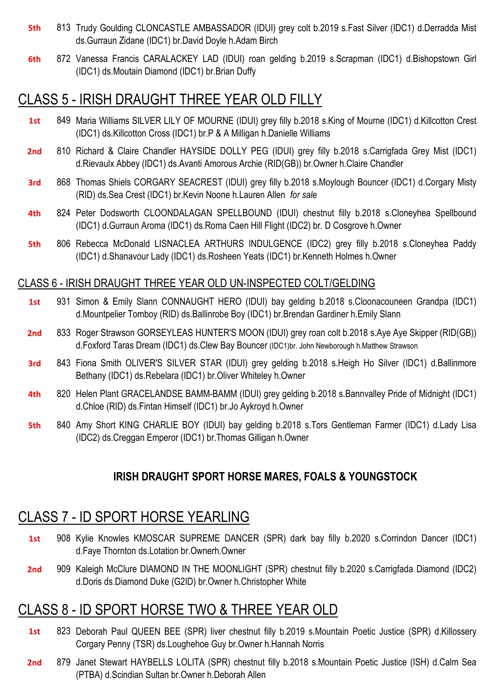- **5th** 813 Trudy Goulding CLONCASTLE AMBASSADOR (IDUI) grey colt b.2019 s.Fast Silver (IDC1) d.Derradda Mist ds.Gurraun Zidane (IDC1) br.David Doyle h.Adam Birch
- **6th** 872 Vanessa Francis CARALACKEY LAD (IDUI) roan gelding b.2019 s.Scrapman (IDC1) d.Bishopstown Girl (IDC1) ds.Moutain Diamond (IDC1) br.Brian Duffy

### CLASS 5 - IRISH DRAUGHT THREE YEAR OLD FILLY

- **1st** 849 Maria Williams SILVER LILY OF MOURNE (IDUI) grey filly b.2018 s.King of Mourne (IDC1) d.Killcotton Crest (IDC1) ds.Killcotton Cross (IDC1) br.P & A Milligan h.Danielle Williams
- **2nd** 810 Richard & Claire Chandler HAYSIDE DOLLY PEG (IDUI) grey filly b.2018 s.Carrigfada Grey Mist (IDC1) d.Rievaulx Abbey (IDC1) ds.Avanti Amorous Archie (RID(GB)) br.Owner h.Claire Chandler
- **3rd** 868 Thomas Shiels CORGARY SEACREST (IDUI) grey filly b.2018 s.Moylough Bouncer (IDC1) d.Corgary Misty (RID) ds.Sea Crest (IDC1) br.Kevin Noone h.Lauren Allen *for sale*
- **4th** 824 Peter Dodsworth CLOONDALAGAN SPELLBOUND (IDUI) chestnut filly b.2018 s.Cloneyhea Spellbound (IDC1) d.Gurraun Aroma (IDC1) ds.Roma Caen Hill Flight (IDC2) br. D Cosgrove h.Owner
- **5th** 806 Rebecca McDonald LISNACLEA ARTHURS INDULGENCE (IDC2) grey filly b.2018 s.Cloneyhea Paddy (IDC1) d.Shanavour Lady (IDC1) ds.Rosheen Yeats (IDC1) br.Kenneth Holmes h.Owner

#### CLASS 6 - IRISH DRAUGHT THREE YEAR OLD UN-INSPECTED COLT/GELDING

- **1st** 931 Simon & Emily Slann CONNAUGHT HERO (IDUI) bay gelding b.2018 s.Cloonacouneen Grandpa (IDC1) d.Mountpelier Tomboy (RID) ds.Ballinrobe Boy (IDC1) br.Brendan Gardiner h.Emily Slann
- **2nd** 833 Roger Strawson GORSEYLEAS HUNTER'S MOON (IDUI) grey roan colt b.2018 s.Aye Aye Skipper (RID(GB)) d.Foxford Taras Dream (IDC1) ds.Clew Bay Bouncer (IDC1)br. John Newborough h.Matthew Strawson
- **3rd** 843 Fiona Smith OLIVER'S SILVER STAR (IDUI) grey gelding b.2018 s.Heigh Ho Silver (IDC1) d.Ballinmore Bethany (IDC1) ds.Rebelara (IDC1) br.Oliver Whiteley h.Owner
- **4th** 820 Helen Plant GRACELANDSE BAMM-BAMM (IDUI) grey gelding b.2018 s.Bannvalley Pride of Midnight (IDC1) d.Chloe (RID) ds.Fintan Himself (IDC1) br.Jo Aykroyd h.Owner
- **5th** 840 Amy Short KING CHARLIE BOY (IDUI) bay gelding b.2018 s.Tors Gentleman Farmer (IDC1) d.Lady Lisa (IDC2) ds.Creggan Emperor (IDC1) br.Thomas Gilligan h.Owner

#### **IRISH DRAUGHT SPORT HORSE MARES, FOALS & YOUNGSTOCK**

### CLASS 7 - ID SPORT HORSE YEARLING

- **1st** 908 Kylie Knowles KMOSCAR SUPREME DANCER (SPR) dark bay filly b.2020 s.Corrindon Dancer (IDC1) d.Faye Thornton ds.Lotation br.Ownerh.Owner
- **2nd** 909 Kaleigh McClure DIAMOND IN THE MOONLIGHT (SPR) chestnut filly b.2020 s.Carrigfada Diamond (IDC2) d.Doris ds.Diamond Duke (G2ID) br.Owner h.Christopher White

### CLASS 8 - ID SPORT HORSE TWO & THREE YEAR OLD

- **1st** 823 Deborah Paul QUEEN BEE (SPR) liver chestnut filly b.2019 s.Mountain Poetic Justice (SPR) d.Killossery Corgary Penny (TSR) ds.Loughehoe Guy br.Owner h.Hannah Norris
- **2nd** 879 Janet Stewart HAYBELLS LOLITA (SPR) chestnut filly b.2018 s.Mountain Poetic Justice (ISH) d.Calm Sea (PTBA) d.Scindian Sultan br.Owner h.Deborah Allen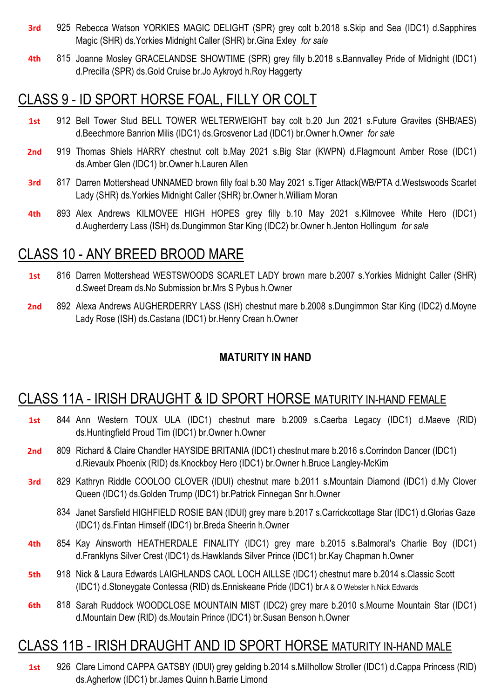- **3rd** 925 Rebecca Watson YORKIES MAGIC DELIGHT (SPR) grey colt b.2018 s.Skip and Sea (IDC1) d.Sapphires Magic (SHR) ds.Yorkies Midnight Caller (SHR) br.Gina Exley *for sale*
- **4th** 815 Joanne Mosley GRACELANDSE SHOWTIME (SPR) grey filly b.2018 s.Bannvalley Pride of Midnight (IDC1) d.Precilla (SPR) ds.Gold Cruise br.Jo Aykroyd h.Roy Haggerty

## CLASS 9 - ID SPORT HORSE FOAL, FILLY OR COLT

- **1st** 912 Bell Tower Stud BELL TOWER WELTERWEIGHT bay colt b.20 Jun 2021 s.Future Gravites (SHB/AES) d.Beechmore Banrion Milis (IDC1) ds.Grosvenor Lad (IDC1) br.Owner h.Owner *for sale*
- **2nd** 919 Thomas Shiels HARRY chestnut colt b.May 2021 s.Big Star (KWPN) d.Flagmount Amber Rose (IDC1) ds.Amber Glen (IDC1) br.Owner h.Lauren Allen
- **3rd** 817 Darren Mottershead UNNAMED brown filly foal b.30 May 2021 s.Tiger Attack(WB/PTA d.Westswoods Scarlet Lady (SHR) ds.Yorkies Midnight Caller (SHR) br.Owner h.William Moran
- **4th** 893 Alex Andrews KILMOVEE HIGH HOPES grey filly b.10 May 2021 s.Kilmovee White Hero (IDC1) d.Augherderry Lass (ISH) ds.Dungimmon Star King (IDC2) br.Owner h.Jenton Hollingum *for sale*

### CLASS 10 - ANY BREED BROOD MARE

- **1st** 816 Darren Mottershead WESTSWOODS SCARLET LADY brown mare b.2007 s.Yorkies Midnight Caller (SHR) d.Sweet Dream ds.No Submission br.Mrs S Pybus h.Owner
- **2nd** 892 Alexa Andrews AUGHERDERRY LASS (ISH) chestnut mare b.2008 s.Dungimmon Star King (IDC2) d.Moyne Lady Rose (ISH) ds.Castana (IDC1) br.Henry Crean h.Owner

#### **MATURITY IN HAND**

### CLASS 11A - IRISH DRAUGHT & ID SPORT HORSE MATURITY IN-HAND FEMALE

- **1st** 844 Ann Western TOUX ULA (IDC1) chestnut mare b.2009 s.Caerba Legacy (IDC1) d.Maeve (RID) ds.Huntingfield Proud Tim (IDC1) br.Owner h.Owner
	- 2nd 809 Richard & Claire Chandler HAYSIDE BRITANIA (IDC1) chestnut mare b.2016 s.Corrindon Dancer (IDC1) d.Rievaulx Phoenix (RID) ds.Knockboy Hero (IDC1) br.Owner h.Bruce Langley-McKim
	- **3rd** 829 Kathryn Riddle COOLOO CLOVER (IDUI) chestnut mare b.2011 s.Mountain Diamond (IDC1) d.My Clover Queen (IDC1) ds.Golden Trump (IDC1) br.Patrick Finnegan Snr h.Owner
		- 834 Janet Sarsfield HIGHFIELD ROSIE BAN (IDUI) grey mare b.2017 s.Carrickcottage Star (IDC1) d.Glorias Gaze (IDC1) ds.Fintan Himself (IDC1) br.Breda Sheerin h.Owner
- **4th** 854 Kay Ainsworth HEATHERDALE FINALITY (IDC1) grey mare b.2015 s.Balmoral's Charlie Boy (IDC1) d.Franklyns Silver Crest (IDC1) ds.Hawklands Silver Prince (IDC1) br.Kay Chapman h.Owner
- **5th** 918 Nick & Laura Edwards LAIGHLANDS CAOL LOCH AILLSE (IDC1) chestnut mare b.2014 s.Classic Scott (IDC1) d.Stoneygate Contessa (RID) ds.Enniskeane Pride (IDC1) br.A & O Webster h.Nick Edwards
- **6th** 818 Sarah Ruddock WOODCLOSE MOUNTAIN MIST (IDC2) grey mare b.2010 s.Mourne Mountain Star (IDC1) d.Mountain Dew (RID) ds.Moutain Prince (IDC1) br.Susan Benson h.Owner

## CLASS 11B - IRISH DRAUGHT AND ID SPORT HORSE MATURITY IN-HAND MALE

**1st** 926 Clare Limond CAPPA GATSBY (IDUI) grey gelding b.2014 s.Millhollow Stroller (IDC1) d.Cappa Princess (RID) ds.Agherlow (IDC1) br.James Quinn h.Barrie Limond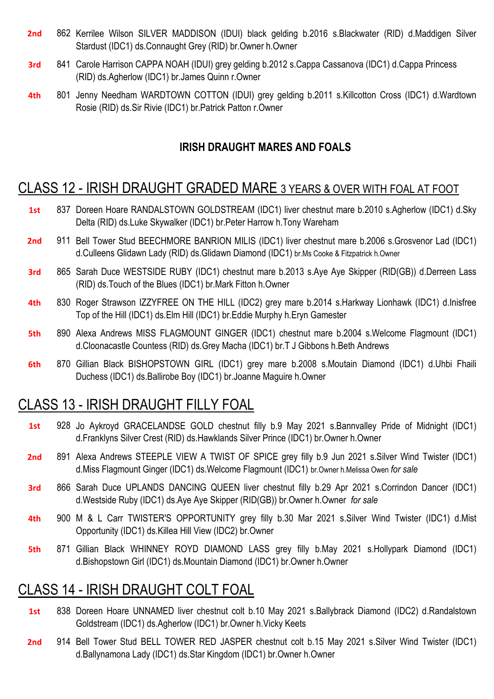- **2nd** 862 Kerrilee Wilson SILVER MADDISON (IDUI) black gelding b.2016 s.Blackwater (RID) d.Maddigen Silver Stardust (IDC1) ds.Connaught Grey (RID) br.Owner h.Owner
- **3rd** 841 Carole Harrison CAPPA NOAH (IDUI) grey gelding b.2012 s.Cappa Cassanova (IDC1) d.Cappa Princess (RID) ds.Agherlow (IDC1) br.James Quinn r.Owner
- **4th** 801 Jenny Needham WARDTOWN COTTON (IDUI) grey gelding b.2011 s.Killcotton Cross (IDC1) d.Wardtown Rosie (RID) ds.Sir Rivie (IDC1) br.Patrick Patton r.Owner

#### **IRISH DRAUGHT MARES AND FOALS**

#### CLASS 12 - IRISH DRAUGHT GRADED MARE 3 YEARS & OVER WITH FOAL AT FOOT

- **1st** 837 Doreen Hoare RANDALSTOWN GOLDSTREAM (IDC1) liver chestnut mare b.2010 s.Agherlow (IDC1) d.Sky Delta (RID) ds.Luke Skywalker (IDC1) br.Peter Harrow h.Tony Wareham
- **2nd** 911 Bell Tower Stud BEECHMORE BANRION MILIS (IDC1) liver chestnut mare b.2006 s.Grosvenor Lad (IDC1) d.Culleens Glidawn Lady (RID) ds.Glidawn Diamond (IDC1) br.Ms Cooke & Fitzpatrick h.Owner
- **3rd** 865 Sarah Duce WESTSIDE RUBY (IDC1) chestnut mare b.2013 s.Aye Aye Skipper (RID(GB)) d.Derreen Lass (RID) ds.Touch of the Blues (IDC1) br.Mark Fitton h.Owner
- **4th** 830 Roger Strawson IZZYFREE ON THE HILL (IDC2) grey mare b.2014 s.Harkway Lionhawk (IDC1) d.Inisfree Top of the Hill (IDC1) ds.Elm Hill (IDC1) br.Eddie Murphy h.Eryn Gamester
- **5th** 890 Alexa Andrews MISS FLAGMOUNT GINGER (IDC1) chestnut mare b.2004 s.Welcome Flagmount (IDC1) d.Cloonacastle Countess (RID) ds.Grey Macha (IDC1) br.T J Gibbons h.Beth Andrews
- **6th** 870 Gillian Black BISHOPSTOWN GIRL (IDC1) grey mare b.2008 s.Moutain Diamond (IDC1) d.Uhbi Fhaili Duchess (IDC1) ds.Ballirobe Boy (IDC1) br.Joanne Maguire h.Owner

### CLASS 13 - IRISH DRAUGHT FILLY FOAL

- **1st** 928 Jo Aykroyd GRACELANDSE GOLD chestnut filly b.9 May 2021 s.Bannvalley Pride of Midnight (IDC1) d.Franklyns Silver Crest (RID) ds.Hawklands Silver Prince (IDC1) br.Owner h.Owner
- **2nd** 891 Alexa Andrews STEEPLE VIEW A TWIST OF SPICE grey filly b.9 Jun 2021 s.Silver Wind Twister (IDC1) d.Miss Flagmount Ginger (IDC1) ds.Welcome Flagmount (IDC1) br.Owner h.Melissa Owen *for sale*
- **3rd** 866 Sarah Duce UPLANDS DANCING QUEEN liver chestnut filly b.29 Apr 2021 s.Corrindon Dancer (IDC1) d.Westside Ruby (IDC1) ds.Aye Aye Skipper (RID(GB)) br.Owner h.Owner *for sale*
- **4th** 900 M & L Carr TWISTER'S OPPORTUNITY grey filly b.30 Mar 2021 s.Silver Wind Twister (IDC1) d.Mist Opportunity (IDC1) ds.Killea Hill View (IDC2) br.Owner
- **5th** 871 Gillian Black WHINNEY ROYD DIAMOND LASS grey filly b.May 2021 s.Hollypark Diamond (IDC1) d.Bishopstown Girl (IDC1) ds.Mountain Diamond (IDC1) br.Owner h.Owner

## CLASS 14 - IRISH DRAUGHT COLT FOAL

- **1st** 838 Doreen Hoare UNNAMED liver chestnut colt b.10 May 2021 s.Ballybrack Diamond (IDC2) d.Randalstown Goldstream (IDC1) ds.Agherlow (IDC1) br.Owner h.Vicky Keets
- **2nd** 914 Bell Tower Stud BELL TOWER RED JASPER chestnut colt b.15 May 2021 s.Silver Wind Twister (IDC1) d.Ballynamona Lady (IDC1) ds.Star Kingdom (IDC1) br.Owner h.Owner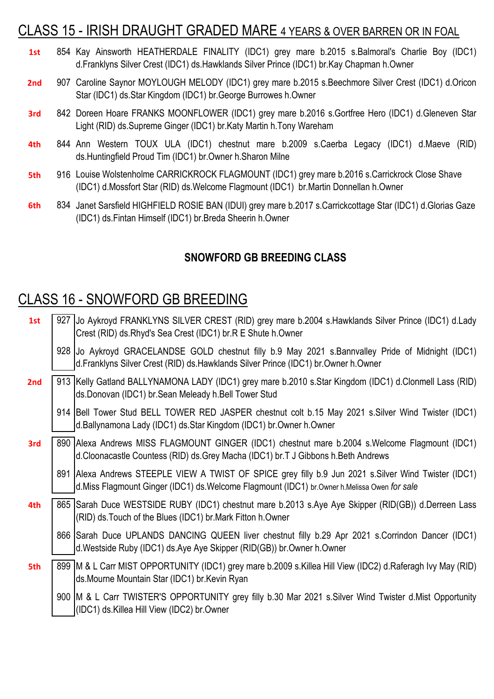## CLASS 15 - IRISH DRAUGHT GRADED MARE 4 YEARS & OVER BARREN OR IN FOAL

| 1st             | 854 Kay Ainsworth HEATHERDALE FINALITY (IDC1) grey mare b.2015 s.Balmoral's Charlie Boy (IDC1)<br>d. Franklyns Silver Crest (IDC1) ds. Hawklands Silver Prince (IDC1) br. Kay Chapman h. Owner |       |
|-----------------|------------------------------------------------------------------------------------------------------------------------------------------------------------------------------------------------|-------|
| 2 <sub>nd</sub> | 907 Caroline Saynor MOYLOUGH MELODY (IDC1) grey mare b.2015 s. Beechmore Silver Crest (IDC1) d. Oricon<br>Star (IDC1) ds. Star Kingdom (IDC1) br. George Burrowes h. Owner                     |       |
| 3rd             | 842 Doreen Hoare FRANKS MOONFLOWER (IDC1) grey mare b.2016 s.Gortfree Hero (IDC1) d.Gleneven Star<br>Light (RID) ds. Supreme Ginger (IDC1) br. Katy Martin h. Tony Wareham                     |       |
| 4th             | 844 Ann Western TOUX ULA (IDC1) chestnut mare b.2009 s.Caerba Legacy (IDC1) d.Maeve<br>ds.Huntingfield Proud Tim (IDC1) br.Owner h.Sharon Milne                                                | (RID) |
| 5th             | 916 Louise Wolstenholme CARRICKROCK FLAGMOUNT (IDC1) grey mare b.2016 s.Carrickrock Close Shave<br>(IDC1) d.Mossfort Star (RID) ds.Welcome Flagmount (IDC1) br.Martin Donnellan h.Owner        |       |
| 6th.            | 834 Janet Sarsfield HIGHFIELD ROSIE BAN (IDUI) grey mare b.2017 s.Carrickcottage Star (IDC1) d.Glorias Gaze                                                                                    |       |

#### **SNOWFORD GB BREEDING CLASS**

## CLASS 16 - SNOWFORD GB BREEDING

(IDC1) ds.Fintan Himself (IDC1) br.Breda Sheerin h.Owner

| 1st | 927 JJo Aykroyd FRANKLYNS SILVER CREST (RID) grey mare b.2004 s. Hawklands Silver Prince (IDC1) d. Lady<br>Crest (RID) ds. Rhyd's Sea Crest (IDC1) br. R E Shute h. Owner                                |
|-----|----------------------------------------------------------------------------------------------------------------------------------------------------------------------------------------------------------|
|     | 928 Jo Aykroyd GRACELANDSE GOLD chestnut filly b.9 May 2021 s. Bannvalley Pride of Midnight (IDC1)<br>d. Franklyns Silver Crest (RID) ds. Hawklands Silver Prince (IDC1) br. Owner h. Owner              |
| 2nd | 913 Kelly Gatland BALLYNAMONA LADY (IDC1) grey mare b.2010 s.Star Kingdom (IDC1) d.Clonmell Lass (RID)<br>ds.Donovan (IDC1) br.Sean Meleady h.Bell Tower Stud                                            |
|     | 914 Bell Tower Stud BELL TOWER RED JASPER chestnut colt b.15 May 2021 s. Silver Wind Twister (IDC1)<br>d.Ballynamona Lady (IDC1) ds.Star Kingdom (IDC1) br.Owner h.Owner                                 |
| 3rd | 890 Alexa Andrews MISS FLAGMOUNT GINGER (IDC1) chestnut mare b.2004 s. Welcome Flagmount (IDC1)<br>d. Cloonacastle Countess (RID) ds. Grey Macha (IDC1) br. T J Gibbons h. Beth Andrews                  |
|     | 891 Alexa Andrews STEEPLE VIEW A TWIST OF SPICE grey filly b.9 Jun 2021 s. Silver Wind Twister (IDC1)<br>d. Miss Flagmount Ginger (IDC1) ds. Welcome Flagmount (IDC1) br. Owner h. Melissa Owen for sale |
| 4th | 865 Sarah Duce WESTSIDE RUBY (IDC1) chestnut mare b.2013 s.Aye Aye Skipper (RID(GB)) d.Derreen Lass<br>(RID) ds. Touch of the Blues (IDC1) br. Mark Fitton h. Owner                                      |
|     | 866 Sarah Duce UPLANDS DANCING QUEEN liver chestnut filly b.29 Apr 2021 s.Corrindon Dancer (IDC1)<br>d. Westside Ruby (IDC1) ds. Aye Aye Skipper (RID(GB)) br. Owner h. Owner                            |
| 5th | 899 M & L Carr MIST OPPORTUNITY (IDC1) grey mare b.2009 s. Killea Hill View (IDC2) d. Raferagh Ivy May (RID)<br>ds.Mourne Mountain Star (IDC1) br.Kevin Ryan                                             |
|     | 900 M & L Carr TWISTER'S OPPORTUNITY grey filly b.30 Mar 2021 s. Silver Wind Twister d. Mist Opportunity<br>(IDC1) ds. Killea Hill View (IDC2) br. Owner                                                 |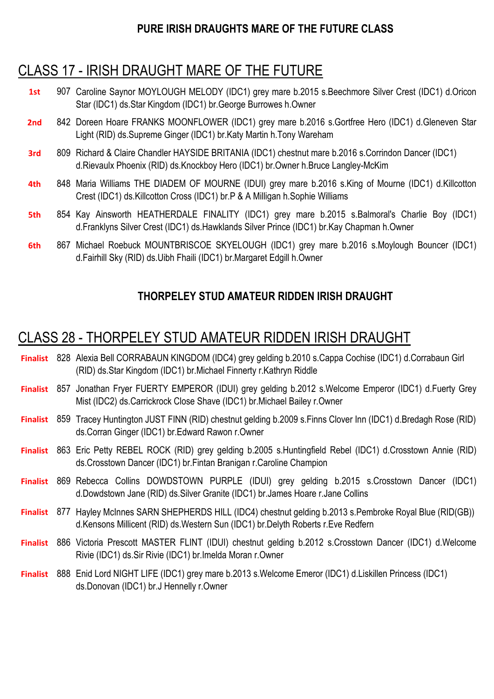#### **PURE IRISH DRAUGHTS MARE OF THE FUTURE CLASS**

## CLASS 17 - IRISH DRAUGHT MARE OF THE FUTURE

- **1st** 907 Caroline Saynor MOYLOUGH MELODY (IDC1) grey mare b.2015 s.Beechmore Silver Crest (IDC1) d.Oricon Star (IDC1) ds.Star Kingdom (IDC1) br.George Burrowes h.Owner
- **2nd** 842 Doreen Hoare FRANKS MOONFLOWER (IDC1) grey mare b.2016 s.Gortfree Hero (IDC1) d.Gleneven Star Light (RID) ds.Supreme Ginger (IDC1) br.Katy Martin h.Tony Wareham
- **3rd** 809 Richard & Claire Chandler HAYSIDE BRITANIA (IDC1) chestnut mare b.2016 s.Corrindon Dancer (IDC1) d.Rievaulx Phoenix (RID) ds.Knockboy Hero (IDC1) br.Owner h.Bruce Langley-McKim
- **4th** 848 Maria Williams THE DIADEM OF MOURNE (IDUI) grey mare b.2016 s.King of Mourne (IDC1) d.Killcotton Crest (IDC1) ds.Killcotton Cross (IDC1) br.P & A Milligan h.Sophie Williams
- **5th** 854 Kay Ainsworth HEATHERDALE FINALITY (IDC1) grey mare b.2015 s.Balmoral's Charlie Boy (IDC1) d.Franklyns Silver Crest (IDC1) ds.Hawklands Silver Prince (IDC1) br.Kay Chapman h.Owner
- **6th** 867 Michael Roebuck MOUNTBRISCOE SKYELOUGH (IDC1) grey mare b.2016 s.Moylough Bouncer (IDC1) d.Fairhill Sky (RID) ds.Uibh Fhaili (IDC1) br.Margaret Edgill h.Owner

#### **THORPELEY STUD AMATEUR RIDDEN IRISH DRAUGHT**

## CLASS 28 - THORPELEY STUD AMATEUR RIDDEN IRISH DRAUGHT

- **Finalist** 828 Alexia Bell CORRABAUN KINGDOM (IDC4) grey gelding b.2010 s.Cappa Cochise (IDC1) d.Corrabaun Girl (RID) ds.Star Kingdom (IDC1) br.Michael Finnerty r.Kathryn Riddle
- **Finalist** 857 Jonathan Fryer FUERTY EMPEROR (IDUI) grey gelding b.2012 s.Welcome Emperor (IDC1) d.Fuerty Grey Mist (IDC2) ds.Carrickrock Close Shave (IDC1) br.Michael Bailey r.Owner
- **Finalist** 859 Tracey Huntington JUST FINN (RID) chestnut gelding b.2009 s.Finns Clover Inn (IDC1) d.Bredagh Rose (RID) ds.Corran Ginger (IDC1) br.Edward Rawon r.Owner
- **Finalist** Eric Petty REBEL ROCK (RID) grey gelding b.2005 s.Huntingfield Rebel (IDC1) d.Crosstown Annie (RID) ds.Crosstown Dancer (IDC1) br.Fintan Branigan r.Caroline Champion
- **Finalist** 869 Rebecca Collins DOWDSTOWN PURPLE (IDUI) grey gelding b.2015 s.Crosstown Dancer (IDC1) d.Dowdstown Jane (RID) ds.Silver Granite (IDC1) br.James Hoare r.Jane Collins
- **Finalist** 877 Hayley McInnes SARN SHEPHERDS HILL (IDC4) chestnut gelding b.2013 s.Pembroke Royal Blue (RID(GB)) d.Kensons Millicent (RID) ds.Western Sun (IDC1) br.Delyth Roberts r.Eve Redfern
- **Finalist** 886 Victoria Prescott MASTER FLINT (IDUI) chestnut gelding b.2012 s.Crosstown Dancer (IDC1) d.Welcome Rivie (IDC1) ds.Sir Rivie (IDC1) br.Imelda Moran r.Owner
- **Finalist** 888 Enid Lord NIGHT LIFE (IDC1) grey mare b.2013 s.Welcome Emeror (IDC1) d.Liskillen Princess (IDC1) ds.Donovan (IDC1) br.J Hennelly r.Owner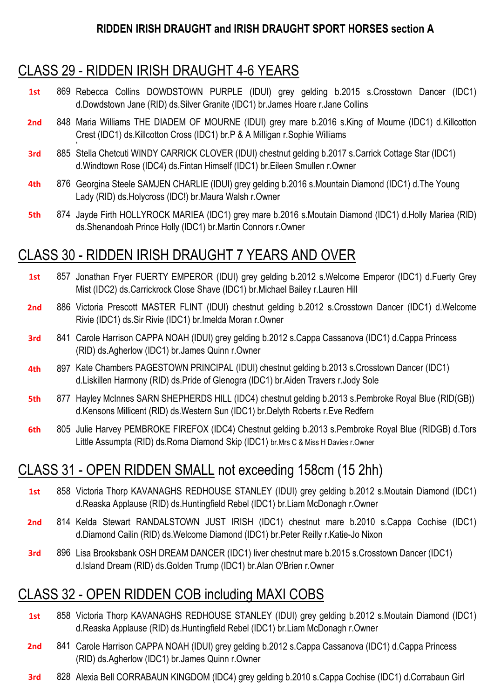## CLASS 29 - RIDDEN IRISH DRAUGHT 4-6 YEARS

- **1st** 869 Rebecca Collins DOWDSTOWN PURPLE (IDUI) grey gelding b.2015 s.Crosstown Dancer (IDC1) d.Dowdstown Jane (RID) ds.Silver Granite (IDC1) br.James Hoare r.Jane Collins
- **2nd** 848 Maria Williams THE DIADEM OF MOURNE (IDUI) grey mare b.2016 s.King of Mourne (IDC1) d.Killcotton r Crest (IDC1) ds.Killcotton Cross (IDC1) br.P & A Milligan r.Sophie Williams
- **3rd** 885 Stella Chetcuti WINDY CARRICK CLOVER (IDUI) chestnut gelding b.2017 s.Carrick Cottage Star (IDC1) d.Windtown Rose (IDC4) ds.Fintan Himself (IDC1) br.Eileen Smullen r.Owner
- **4th** 876 Georgina Steele SAMJEN CHARLIE (IDUI) grey gelding b.2016 s.Mountain Diamond (IDC1) d.The Young Lady (RID) ds.Holycross (IDC!) br.Maura Walsh r.Owner
- **5th** 874 Jayde Firth HOLLYROCK MARIEA (IDC1) grey mare b.2016 s.Moutain Diamond (IDC1) d.Holly Mariea (RID) ds.Shenandoah Prince Holly (IDC1) br.Martin Connors r.Owner

## CLASS 30 - RIDDEN IRISH DRAUGHT 7 YEARS AND OVER

- **1st** 857 Jonathan Fryer FUERTY EMPEROR (IDUI) grey gelding b.2012 s.Welcome Emperor (IDC1) d.Fuerty Grey Mist (IDC2) ds.Carrickrock Close Shave (IDC1) br.Michael Bailey r.Lauren Hill
- **2nd** 886 Victoria Prescott MASTER FLINT (IDUI) chestnut gelding b.2012 s.Crosstown Dancer (IDC1) d.Welcome Rivie (IDC1) ds.Sir Rivie (IDC1) br.Imelda Moran r.Owner
- **3rd** 841 Carole Harrison CAPPA NOAH (IDUI) grey gelding b.2012 s.Cappa Cassanova (IDC1) d.Cappa Princess (RID) ds.Agherlow (IDC1) br.James Quinn r.Owner
- **4th** 897 Kate Chambers PAGESTOWN PRINCIPAL (IDUI) chestnut gelding b.2013 s.Crosstown Dancer (IDC1) d.Liskillen Harmony (RID) ds.Pride of Glenogra (IDC1) br.Aiden Travers r.Jody Sole
- **5th** 877 Hayley McInnes SARN SHEPHERDS HILL (IDC4) chestnut gelding b.2013 s.Pembroke Royal Blue (RID(GB)) d.Kensons Millicent (RID) ds.Western Sun (IDC1) br.Delyth Roberts r.Eve Redfern
- **6th** 805 Julie Harvey PEMBROKE FIREFOX (IDC4) Chestnut gelding b.2013 s.Pembroke Royal Blue (RIDGB) d.Tors Little Assumpta (RID) ds.Roma Diamond Skip (IDC1) br.Mrs C & Miss H Davies r.Owner

## CLASS 31 - OPEN RIDDEN SMALL not exceeding 158cm (15 2hh)

- **1st** 858 Victoria Thorp KAVANAGHS REDHOUSE STANLEY (IDUI) grey gelding b.2012 s.Moutain Diamond (IDC1) d.Reaska Applause (RID) ds.Huntingfield Rebel (IDC1) br.Liam McDonagh r.Owner
- **2nd** 814 Kelda Stewart RANDALSTOWN JUST IRISH (IDC1) chestnut mare b.2010 s.Cappa Cochise (IDC1) d.Diamond Cailin (RID) ds.Welcome Diamond (IDC1) br.Peter Reilly r.Katie-Jo Nixon
- **3rd** 896 Lisa Brooksbank OSH DREAM DANCER (IDC1) liver chestnut mare b.2015 s.Crosstown Dancer (IDC1) d.Island Dream (RID) ds.Golden Trump (IDC1) br.Alan O'Brien r.Owner

## CLASS 32 - OPEN RIDDEN COB including MAXI COBS

- **1st** 858 Victoria Thorp KAVANAGHS REDHOUSE STANLEY (IDUI) grey gelding b.2012 s.Moutain Diamond (IDC1) d.Reaska Applause (RID) ds.Huntingfield Rebel (IDC1) br.Liam McDonagh r.Owner
- **2nd** 841 Carole Harrison CAPPA NOAH (IDUI) grey gelding b.2012 s.Cappa Cassanova (IDC1) d.Cappa Princess (RID) ds.Agherlow (IDC1) br.James Quinn r.Owner
- **3rd** 828 Alexia Bell CORRABAUN KINGDOM (IDC4) grey gelding b.2010 s.Cappa Cochise (IDC1) d.Corrabaun Girl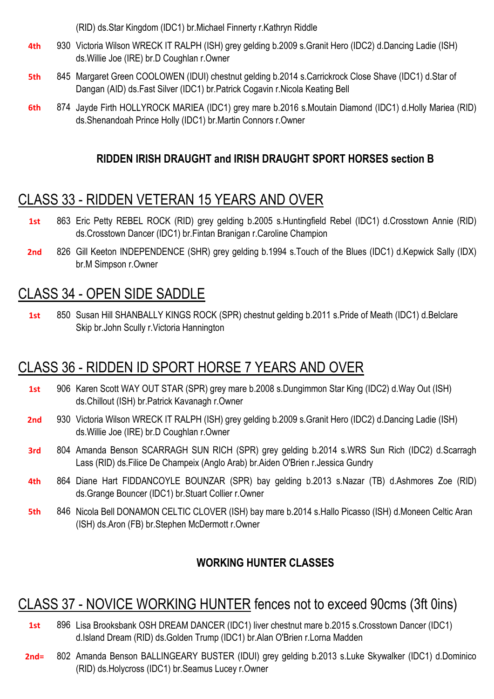(RID) ds.Star Kingdom (IDC1) br.Michael Finnerty r.Kathryn Riddle

- **4th** 930 Victoria Wilson WRECK IT RALPH (ISH) grey gelding b.2009 s.Granit Hero (IDC2) d.Dancing Ladie (ISH) ds.Willie Joe (IRE) br.D Coughlan r.Owner
- **5th** 845 Margaret Green COOLOWEN (IDUI) chestnut gelding b.2014 s.Carrickrock Close Shave (IDC1) d.Star of Dangan (AID) ds.Fast Silver (IDC1) br.Patrick Cogavin r.Nicola Keating Bell
- **6th** 874 Jayde Firth HOLLYROCK MARIEA (IDC1) grey mare b.2016 s.Moutain Diamond (IDC1) d.Holly Mariea (RID) ds.Shenandoah Prince Holly (IDC1) br.Martin Connors r.Owner

#### **RIDDEN IRISH DRAUGHT and IRISH DRAUGHT SPORT HORSES section B**

## CLASS 33 - RIDDEN VETERAN 15 YEARS AND OVER

- **1st** 863 Eric Petty REBEL ROCK (RID) grey gelding b.2005 s.Huntingfield Rebel (IDC1) d.Crosstown Annie (RID) ds.Crosstown Dancer (IDC1) br.Fintan Branigan r.Caroline Champion
- 2nd 826 Gill Keeton INDEPENDENCE (SHR) grey gelding b.1994 s.Touch of the Blues (IDC1) d.Kepwick Sally (IDX) br.M Simpson r.Owner

## CLASS 34 - OPEN SIDE SADDLE

1st 850 Susan Hill SHANBALLY KINGS ROCK (SPR) chestnut gelding b.2011 s. Pride of Meath (IDC1) d. Belclare Skip br.John Scully r.Victoria Hannington

## CLASS 36 - RIDDEN ID SPORT HORSE 7 YEARS AND OVER

- **1st** 906 Karen Scott WAY OUT STAR (SPR) grey mare b.2008 s.Dungimmon Star King (IDC2) d.Way Out (ISH) ds.Chillout (ISH) br.Patrick Kavanagh r.Owner
- 2nd 930 Victoria Wilson WRECK IT RALPH (ISH) grey gelding b.2009 s.Granit Hero (IDC2) d.Dancing Ladie (ISH) ds.Willie Joe (IRE) br.D Coughlan r.Owner
- **3rd** 804 Amanda Benson SCARRAGH SUN RICH (SPR) grey gelding b.2014 s.WRS Sun Rich (IDC2) d.Scarragh Lass (RID) ds.Filice De Champeix (Anglo Arab) br.Aiden O'Brien r.Jessica Gundry
- **4th** 864 Diane Hart FIDDANCOYLE BOUNZAR (SPR) bay gelding b.2013 s.Nazar (TB) d.Ashmores Zoe (RID) ds.Grange Bouncer (IDC1) br.Stuart Collier r.Owner
- **5th** 846 Nicola Bell DONAMON CELTIC CLOVER (ISH) bay mare b.2014 s.Hallo Picasso (ISH) d.Moneen Celtic Aran (ISH) ds.Aron (FB) br.Stephen McDermott r.Owner

#### **WORKING HUNTER CLASSES**

## CLASS 37 - NOVICE WORKING HUNTER fences not to exceed 90cms (3ft 0ins)

- 1st 896 Lisa Brooksbank OSH DREAM DANCER (IDC1) liver chestnut mare b.2015 s.Crosstown Dancer (IDC1) d.Island Dream (RID) ds.Golden Trump (IDC1) br.Alan O'Brien r.Lorna Madden
- **2nd=** 802 Amanda Benson BALLINGEARY BUSTER (IDUI) grey gelding b.2013 s.Luke Skywalker (IDC1) d.Dominico (RID) ds.Holycross (IDC1) br.Seamus Lucey r.Owner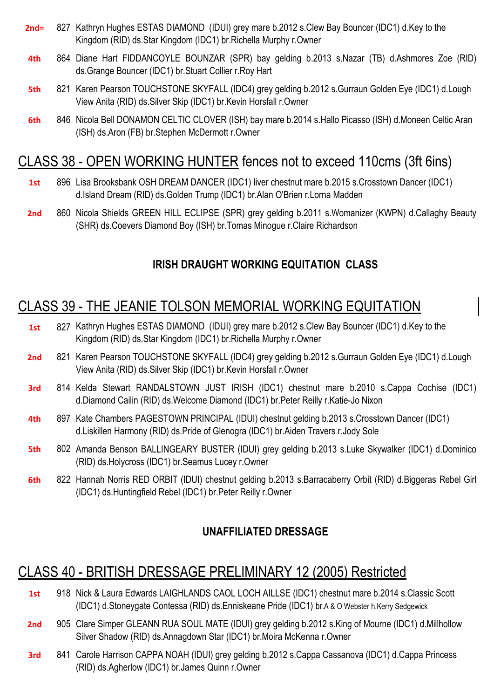- **2nd=** 827 Kathryn Hughes ESTAS DIAMOND (IDUI) grey mare b.2012 s.Clew Bay Bouncer (IDC1) d.Key to the Kingdom (RID) ds.Star Kingdom (IDC1) br.Richella Murphy r.Owner
- **4th** 864 Diane Hart FIDDANCOYLE BOUNZAR (SPR) bay gelding b.2013 s.Nazar (TB) d.Ashmores Zoe (RID) ds.Grange Bouncer (IDC1) br.Stuart Collier r.Roy Hart
- **5th** 821 Karen Pearson TOUCHSTONE SKYFALL (IDC4) grey gelding b.2012 s.Gurraun Golden Eye (IDC1) d.Lough View Anita (RID) ds.Silver Skip (IDC1) br.Kevin Horsfall r.Owner
- **6th** 846 Nicola Bell DONAMON CELTIC CLOVER (ISH) bay mare b.2014 s.Hallo Picasso (ISH) d.Moneen Celtic Aran (ISH) ds.Aron (FB) br.Stephen McDermott r.Owner

## CLASS 38 - OPEN WORKING HUNTER fences not to exceed 110cms (3ft 6ins)

- **1st** 896 Lisa Brooksbank OSH DREAM DANCER (IDC1) liver chestnut mare b.2015 s.Crosstown Dancer (IDC1) d.Island Dream (RID) ds.Golden Trump (IDC1) br.Alan O'Brien r.Lorna Madden
- **2nd** 860 Nicola Shields GREEN HILL ECLIPSE (SPR) grey gelding b.2011 s.Womanizer (KWPN) d.Callaghy Beauty (SHR) ds.Coevers Diamond Boy (ISH) br.Tomas Minogue r.Claire Richardson

#### **IRISH DRAUGHT WORKING EQUITATION CLASS**

## CLASS 39 - THE JEANIE TOLSON MEMORIAL WORKING EQUITATION

- **1st** 827 Kathryn Hughes ESTAS DIAMOND (IDUI) grey mare b.2012 s.Clew Bay Bouncer (IDC1) d.Key to the Kingdom (RID) ds.Star Kingdom (IDC1) br.Richella Murphy r.Owner
- 2nd 821 Karen Pearson TOUCHSTONE SKYFALL (IDC4) grey gelding b.2012 s.Gurraun Golden Eye (IDC1) d.Lough View Anita (RID) ds.Silver Skip (IDC1) br.Kevin Horsfall r.Owner
- **3rd** 814 Kelda Stewart RANDALSTOWN JUST IRISH (IDC1) chestnut mare b.2010 s.Cappa Cochise (IDC1) d.Diamond Cailin (RID) ds.Welcome Diamond (IDC1) br.Peter Reilly r.Katie-Jo Nixon
- **4th** 897 Kate Chambers PAGESTOWN PRINCIPAL (IDUI) chestnut gelding b.2013 s.Crosstown Dancer (IDC1) d.Liskillen Harmony (RID) ds.Pride of Glenogra (IDC1) br.Aiden Travers r.Jody Sole
- **5th** 802 Amanda Benson BALLINGEARY BUSTER (IDUI) grey gelding b.2013 s.Luke Skywalker (IDC1) d.Dominico (RID) ds.Holycross (IDC1) br.Seamus Lucey r.Owner
- **6th** 822 Hannah Norris RED ORBIT (IDUI) chestnut gelding b.2013 s.Barracaberry Orbit (RID) d.Biggeras Rebel Girl (IDC1) ds.Huntingfield Rebel (IDC1) br.Peter Reilly r.Owner

#### **UNAFFILIATED DRESSAGE**

## CLASS 40 - BRITISH DRESSAGE PRELIMINARY 12 (2005) Restricted

- **1st** 918 Nick & Laura Edwards LAIGHLANDS CAOL LOCH AILLSE (IDC1) chestnut mare b.2014 s.Classic Scott (IDC1) d.Stoneygate Contessa (RID) ds.Enniskeane Pride (IDC1) br.A & O Webster h.Kerry Sedgewick
- 2nd 905 Clare Simper GLEANN RUA SOUL MATE (IDUI) grey gelding b.2012 s.King of Mourne (IDC1) d.Millhollow Silver Shadow (RID) ds.Annagdown Star (IDC1) br.Moira McKenna r.Owner
- **3rd** 841 Carole Harrison CAPPA NOAH (IDUI) grey gelding b.2012 s.Cappa Cassanova (IDC1) d.Cappa Princess (RID) ds.Agherlow (IDC1) br.James Quinn r.Owner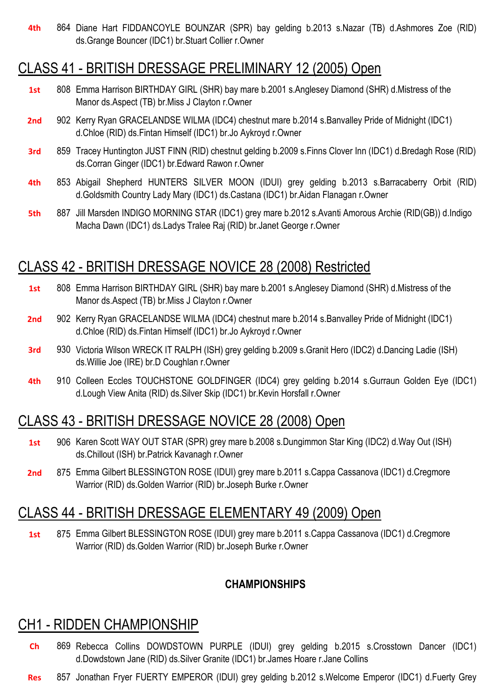**4th** 864 Diane Hart FIDDANCOYLE BOUNZAR (SPR) bay gelding b.2013 s.Nazar (TB) d.Ashmores Zoe (RID) ds.Grange Bouncer (IDC1) br.Stuart Collier r.Owner

### CLASS 41 - BRITISH DRESSAGE PRELIMINARY 12 (2005) Open

- **1st** 808 Emma Harrison BIRTHDAY GIRL (SHR) bay mare b.2001 s.Anglesey Diamond (SHR) d.Mistress of the Manor ds.Aspect (TB) br.Miss J Clayton r.Owner
- 2nd 902 Kerry Ryan GRACELANDSE WILMA (IDC4) chestnut mare b.2014 s.Banvalley Pride of Midnight (IDC1) d.Chloe (RID) ds.Fintan Himself (IDC1) br.Jo Aykroyd r.Owner
- **3rd** 859 Tracey Huntington JUST FINN (RID) chestnut gelding b.2009 s.Finns Clover Inn (IDC1) d.Bredagh Rose (RID) ds.Corran Ginger (IDC1) br.Edward Rawon r.Owner
- **4th** 853 Abigail Shepherd HUNTERS SILVER MOON (IDUI) grey gelding b.2013 s.Barracaberry Orbit (RID) d.Goldsmith Country Lady Mary (IDC1) ds.Castana (IDC1) br.Aidan Flanagan r.Owner
- **5th** 887 Jill Marsden INDIGO MORNING STAR (IDC1) grey mare b.2012 s.Avanti Amorous Archie (RID(GB)) d.Indigo Macha Dawn (IDC1) ds.Ladys Tralee Raj (RID) br.Janet George r.Owner

## CLASS 42 - BRITISH DRESSAGE NOVICE 28 (2008) Restricted

- **1st** 808 Emma Harrison BIRTHDAY GIRL (SHR) bay mare b.2001 s.Anglesey Diamond (SHR) d.Mistress of the Manor ds.Aspect (TB) br.Miss J Clayton r.Owner
- 2nd 902 Kerry Ryan GRACELANDSE WILMA (IDC4) chestnut mare b.2014 s.Banvalley Pride of Midnight (IDC1) d.Chloe (RID) ds.Fintan Himself (IDC1) br.Jo Aykroyd r.Owner
- **3rd** 930 Victoria Wilson WRECK IT RALPH (ISH) grey gelding b.2009 s.Granit Hero (IDC2) d.Dancing Ladie (ISH) ds.Willie Joe (IRE) br.D Coughlan r.Owner
- **4th** 910 Colleen Eccles TOUCHSTONE GOLDFINGER (IDC4) grey gelding b.2014 s.Gurraun Golden Eye (IDC1) d.Lough View Anita (RID) ds.Silver Skip (IDC1) br.Kevin Horsfall r.Owner

### CLASS 43 - BRITISH DRESSAGE NOVICE 28 (2008) Open

- **1st** 906 Karen Scott WAY OUT STAR (SPR) grey mare b.2008 s.Dungimmon Star King (IDC2) d.Way Out (ISH) ds.Chillout (ISH) br.Patrick Kavanagh r.Owner
- **2nd** 875 Emma Gilbert BLESSINGTON ROSE (IDUI) grey mare b.2011 s.Cappa Cassanova (IDC1) d.Cregmore Warrior (RID) ds.Golden Warrior (RID) br.Joseph Burke r.Owner

### CLASS 44 - BRITISH DRESSAGE ELEMENTARY 49 (2009) Open

**1st** 875 Emma Gilbert BLESSINGTON ROSE (IDUI) grey mare b.2011 s.Cappa Cassanova (IDC1) d.Cregmore Warrior (RID) ds.Golden Warrior (RID) br.Joseph Burke r.Owner

#### **CHAMPIONSHIPS**

### CH1 - RIDDEN CHAMPIONSHIP

- **Ch** 869 Rebecca Collins DOWDSTOWN PURPLE (IDUI) grey gelding b.2015 s.Crosstown Dancer (IDC1) d.Dowdstown Jane (RID) ds.Silver Granite (IDC1) br.James Hoare r.Jane Collins
- **Res** 857 Jonathan Fryer FUERTY EMPEROR (IDUI) grey gelding b.2012 s.Welcome Emperor (IDC1) d.Fuerty Grey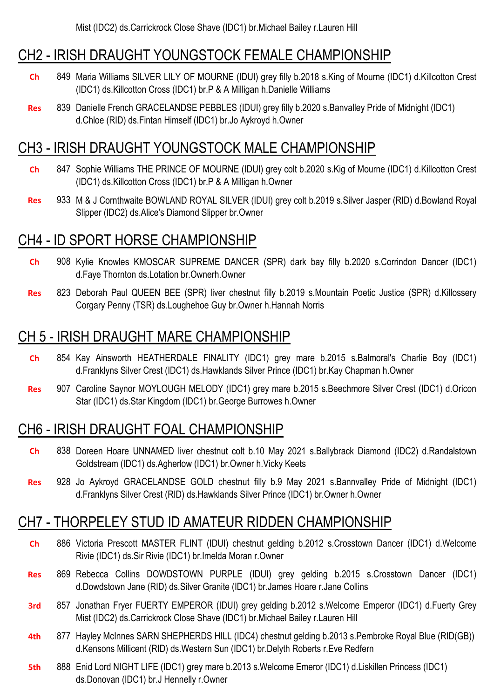#### CH2 - IRISH DRAUGHT YOUNGSTOCK FEMALE CHAMPIONSHIP

- **Ch** 849 Maria Williams SILVER LILY OF MOURNE (IDUI) grey filly b.2018 s.King of Mourne (IDC1) d.Killcotton Crest (IDC1) ds.Killcotton Cross (IDC1) br.P & A Milligan h.Danielle Williams
- **Res** 839 Danielle French GRACELANDSE PEBBLES (IDUI) grey filly b.2020 s.Banvalley Pride of Midnight (IDC1) d.Chloe (RID) ds.Fintan Himself (IDC1) br.Jo Aykroyd h.Owner

### CH3 - IRISH DRAUGHT YOUNGSTOCK MALE CHAMPIONSHIP

- **Ch** 847 Sophie Williams THE PRINCE OF MOURNE (IDUI) grey colt b.2020 s.Kig of Mourne (IDC1) d.Killcotton Crest (IDC1) ds.Killcotton Cross (IDC1) br.P & A Milligan h.Owner
- **Res** 933 M & J Cornthwaite BOWLAND ROYAL SILVER (IDUI) grey colt b.2019 s.Silver Jasper (RID) d.Bowland Royal Slipper (IDC2) ds.Alice's Diamond Slipper br.Owner

### CH4 - ID SPORT HORSE CHAMPIONSHIP

- **Ch** 908 Kylie Knowles KMOSCAR SUPREME DANCER (SPR) dark bay filly b.2020 s.Corrindon Dancer (IDC1) d.Faye Thornton ds.Lotation br.Ownerh.Owner
- **Res** 823 Deborah Paul QUEEN BEE (SPR) liver chestnut filly b.2019 s.Mountain Poetic Justice (SPR) d.Killossery Corgary Penny (TSR) ds.Loughehoe Guy br.Owner h.Hannah Norris

### CH 5 - IRISH DRAUGHT MARE CHAMPIONSHIP

- **Ch** 854 Kay Ainsworth HEATHERDALE FINALITY (IDC1) grey mare b.2015 s.Balmoral's Charlie Boy (IDC1) d.Franklyns Silver Crest (IDC1) ds.Hawklands Silver Prince (IDC1) br.Kay Chapman h.Owner
- Res 907 Caroline Saynor MOYLOUGH MELODY (IDC1) grey mare b.2015 s.Beechmore Silver Crest (IDC1) d.Oricon Star (IDC1) ds.Star Kingdom (IDC1) br.George Burrowes h.Owner

### CH6 - IRISH DRAUGHT FOAL CHAMPIONSHIP

- **Ch** 838 Doreen Hoare UNNAMED liver chestnut colt b.10 May 2021 s.Ballybrack Diamond (IDC2) d.Randalstown Goldstream (IDC1) ds.Agherlow (IDC1) br.Owner h.Vicky Keets
- **Res** 928 Jo Aykroyd GRACELANDSE GOLD chestnut filly b.9 May 2021 s.Bannvalley Pride of Midnight (IDC1) d.Franklyns Silver Crest (RID) ds.Hawklands Silver Prince (IDC1) br.Owner h.Owner

#### CH7 - THORPELEY STUD ID AMATEUR RIDDEN CHAMPIONSHIP

- **Ch** 886 Victoria Prescott MASTER FLINT (IDUI) chestnut gelding b.2012 s.Crosstown Dancer (IDC1) d.Welcome Rivie (IDC1) ds.Sir Rivie (IDC1) br.Imelda Moran r.Owner
- **Res** 869 Rebecca Collins DOWDSTOWN PURPLE (IDUI) grey gelding b.2015 s.Crosstown Dancer (IDC1) d.Dowdstown Jane (RID) ds.Silver Granite (IDC1) br.James Hoare r.Jane Collins
- **3rd** 857 Jonathan Fryer FUERTY EMPEROR (IDUI) grey gelding b.2012 s.Welcome Emperor (IDC1) d.Fuerty Grey Mist (IDC2) ds.Carrickrock Close Shave (IDC1) br.Michael Bailey r.Lauren Hill
- **4th** 877 Hayley McInnes SARN SHEPHERDS HILL (IDC4) chestnut gelding b.2013 s.Pembroke Royal Blue (RID(GB)) d.Kensons Millicent (RID) ds.Western Sun (IDC1) br.Delyth Roberts r.Eve Redfern
- **5th** 888 Enid Lord NIGHT LIFE (IDC1) grey mare b.2013 s.Welcome Emeror (IDC1) d.Liskillen Princess (IDC1) ds.Donovan (IDC1) br.J Hennelly r.Owner